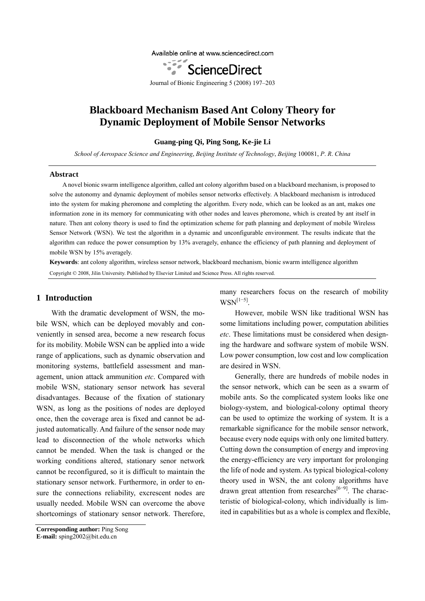Available online at www.sciencedirect.com

ScienceDirect

Journal of Bionic Engineering 5 (2008) 197–203

# **Blackboard Mechanism Based Ant Colony Theory for Dynamic Deployment of Mobile Sensor Networks**

**Guang-ping Qi, Ping Song, Ke-jie Li** 

*School of Aerospace Science and Engineering*, *Beijing Institute of Technology*, *Beijing* 100081, *P*. *R*. *China* 

#### **Abstract**

A novel bionic swarm intelligence algorithm, called ant colony algorithm based on a blackboard mechanism, is proposed to solve the autonomy and dynamic deployment of mobiles sensor networks effectively. A blackboard mechanism is introduced into the system for making pheromone and completing the algorithm. Every node, which can be looked as an ant, makes one information zone in its memory for communicating with other nodes and leaves pheromone, which is created by ant itself in nature. Then ant colony theory is used to find the optimization scheme for path planning and deployment of mobile Wireless Sensor Network (WSN). We test the algorithm in a dynamic and unconfigurable environment. The results indicate that the algorithm can reduce the power consumption by 13% averagely, enhance the efficiency of path planning and deployment of mobile WSN by 15% averagely.

**Keywords**: ant colony algorithm, wireless sensor network, blackboard mechanism, bionic swarm intelligence algorithm Copyright © 2008, Jilin University. Published by Elsevier Limited and Science Press. All rights reserved.

#### **1 Introduction**

With the dramatic development of WSN, the mobile WSN, which can be deployed movably and conveniently in sensed area, become a new research focus for its mobility. Mobile WSN can be applied into a wide range of applications, such as dynamic observation and monitoring systems, battlefield assessment and management, union attack ammunition *etc*. Compared with mobile WSN, stationary sensor network has several disadvantages. Because of the fixation of stationary WSN, as long as the positions of nodes are deployed once, then the coverage area is fixed and cannot be adjusted automatically. And failure of the sensor node may lead to disconnection of the whole networks which cannot be mended. When the task is changed or the working conditions altered, stationary senor network cannot be reconfigured, so it is difficult to maintain the stationary sensor network. Furthermore, in order to ensure the connections reliability, excrescent nodes are usually needed. Mobile WSN can overcome the above shortcomings of stationary sensor network. Therefore,

**Corresponding author:** Ping Song **E-mail:** sping2002@bit.edu.cn

many researchers focus on the research of mobility  $WSN^{[1-5]}$ 

However, mobile WSN like traditional WSN has some limitations including power, computation abilities *etc*. These limitations must be considered when designing the hardware and software system of mobile WSN. Low power consumption, low cost and low complication are desired in WSN.

Generally, there are hundreds of mobile nodes in the sensor network, which can be seen as a swarm of mobile ants. So the complicated system looks like one biology-system, and biological-colony optimal theory can be used to optimize the working of system. It is a remarkable significance for the mobile sensor network, because every node equips with only one limited battery. Cutting down the consumption of energy and improving the energy-efficiency are very important for prolonging the life of node and system. As typical biological-colony theory used in WSN, the ant colony algorithms have drawn great attention from researches<sup>[6−9]</sup>. The characteristic of biological-colony, which individually is limited in capabilities but as a whole is complex and flexible,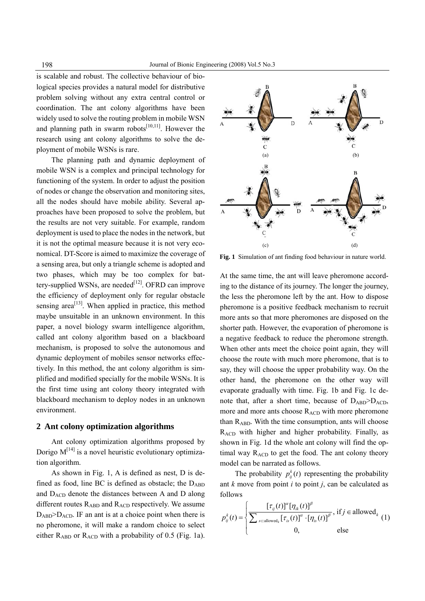is scalable and robust. The collective behaviour of biological species provides a natural model for distributive problem solving without any extra central control or coordination. The ant colony algorithms have been widely used to solve the routing problem in mobile WSN and planning path in swarm robots<sup>[10,11]</sup>. However the research using ant colony algorithms to solve the deployment of mobile WSNs is rare.

The planning path and dynamic deployment of mobile WSN is a complex and principal technology for functioning of the system. In order to adjust the position of nodes or change the observation and monitoring sites, all the nodes should have mobile ability. Several approaches have been proposed to solve the problem, but the results are not very suitable. For example, random deployment is used to place the nodes in the network, but it is not the optimal measure because it is not very economical. DT-Score is aimed to maximize the coverage of a sensing area, but only a triangle scheme is adopted and two phases, which may be too complex for battery-supplied WSNs, are needed $[12]$ . OFRD can improve the efficiency of deployment only for regular obstacle sensing area<sup>[13]</sup>. When applied in practice, this method maybe unsuitable in an unknown environment. In this paper, a novel biology swarm intelligence algorithm, called ant colony algorithm based on a blackboard mechanism, is proposed to solve the autonomous and dynamic deployment of mobiles sensor networks effectively. In this method, the ant colony algorithm is simplified and modified specially for the mobile WSNs. It is the first time using ant colony theory integrated with blackboard mechanism to deploy nodes in an unknown environment.

### **2 Ant colony optimization algorithms**

Ant colony optimization algorithms proposed by Dorigo  $M^{[14]}$  is a novel heuristic evolutionary optimization algorithm.

As shown in Fig. 1, A is defined as nest, D is defined as food, line BC is defined as obstacle; the  $D_{ABD}$ and  $D_{ACD}$  denote the distances between A and D along different routes  $R_{ABD}$  and  $R_{ACD}$  respectively. We assume  $D_{ABD}$ > $D_{ACD}$ . IF an ant is at a choice point when there is no pheromone, it will make a random choice to select either  $R_{ABD}$  or  $R_{ACD}$  with a probability of 0.5 (Fig. 1a).



**Fig. 1** Simulation of ant finding food behaviour in nature world.

At the same time, the ant will leave pheromone according to the distance of its journey. The longer the journey, the less the pheromone left by the ant. How to dispose pheromone is a positive feedback mechanism to recruit more ants so that more pheromones are disposed on the shorter path. However, the evaporation of pheromone is a negative feedback to reduce the pheromone strength. When other ants meet the choice point again, they will choose the route with much more pheromone, that is to say, they will choose the upper probability way. On the other hand, the pheromone on the other way will evaporate gradually with time. Fig. 1b and Fig. 1c denote that, after a short time, because of DABD>D<sub>ACD</sub>, more and more ants choose  $R_{\text{ACD}}$  with more pheromone than  $R_{ABD}$ . With the time consumption, ants will choose RACD with higher and higher probability. Finally, as shown in Fig. 1d the whole ant colony will find the optimal way  $R_{\text{ACD}}$  to get the food. The ant colony theory model can be narrated as follows.

The probability  $p_{ij}^k(t)$  representing the probability ant *k* move from point *i* to point *j*, can be calculated as follows

$$
p_{ij}^{k}(t) = \begin{cases} \frac{[\tau_{ij}(t)]^{\alpha}[\eta_{ik}(t)]^{\beta}}{\sum_{s \subset \text{allowed}_{k}}[\tau_{is}(t)]^{\alpha} \cdot [\eta_{is}(t)]^{\beta}}, \text{ if } j \in \text{allowed}_{k} \\ 0, \text{ else} \end{cases} (1)
$$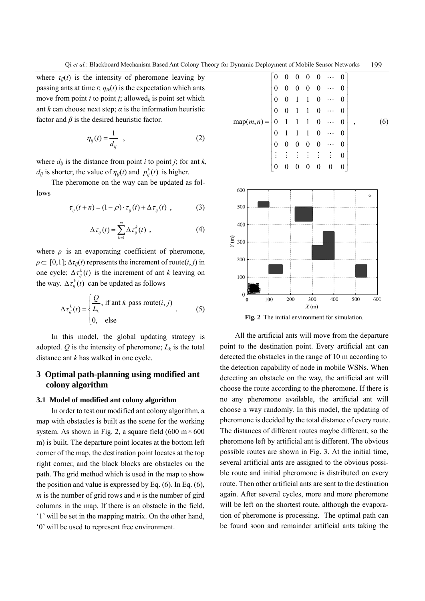where  $\tau_{ij}(t)$  is the intensity of pheromone leaving by passing ants at time *t*;  $\eta_{ik}(t)$  is the expectation which ants move from point *i* to point *i*; allowed<sub>*k*</sub> is point set which ant  $k$  can choose next step;  $\alpha$  is the information heuristic factor and  $\beta$  is the desired heuristic factor.

$$
\eta_{ij}(t) = \frac{1}{d_{ij}} \quad , \tag{2}
$$

where  $d_{ij}$  is the distance from point *i* to point *j*; for ant *k*, *d<sub>ij</sub>* is shorter, the value of  $\eta_{ij}(t)$  and  $p_{ij}^k(t)$  is higher.

The pheromone on the way can be updated as follows

$$
\tau_{ij}(t+n) = (1-\rho) \cdot \tau_{ij}(t) + \Delta \tau_{ij}(t) , \qquad (3)
$$

$$
\Delta \tau_{ij}(t) = \sum_{k=1}^{m} \Delta \tau_{ij}^{k}(t) , \qquad (4)
$$

where  $\rho$  is an evaporating coefficient of pheromone,  $\rho \subset [0,1]$ ;  $\Delta \tau_{ij}(t)$  represents the increment of route(*i*, *j*) in one cycle;  $\Delta \tau_{ij}^k(t)$  is the increment of ant *k* leaving on the way.  $\Delta \tau_{ij}^k(t)$  can be updated as follows

$$
\Delta \tau_{ij}^{k}(t) = \begin{cases} \frac{Q}{L_k}, & \text{if ant } k \text{ pass route}(i, j) \\ 0, & \text{else} \end{cases}
$$
 (5)

In this model, the global updating strategy is adopted.  $Q$  is the intensity of pheromone;  $L_k$  is the total distance ant *k* has walked in one cycle.

# **3 Optimal path-planning using modified ant colony algorithm**

#### **3.1 Model of modified ant colony algorithm**

In order to test our modified ant colony algorithm, a map with obstacles is built as the scene for the working system. As shown in Fig. 2, a square field (600 m $\times$  600 m) is built. The departure point locates at the bottom left corner of the map, the destination point locates at the top right corner, and the black blocks are obstacles on the path. The grid method which is used in the map to show the position and value is expressed by Eq. (6). In Eq. (6), *m* is the number of grid rows and *n* is the number of gird columns in the map. If there is an obstacle in the field, '1' will be set in the mapping matrix. On the other hand, '0' will be used to represent free environment.

| $\text{nap}(m,n) = \begin{bmatrix} 0 & 0 & 0 & 0 & 0 & \cdots & 0 \\ 0 & 0 & 0 & 0 & 0 & \cdots & 0 \\ 0 & 0 & 1 & 1 & 0 & \cdots & 0 \\ 0 & 0 & 1 & 1 & 0 & \cdots & 0 \\ 0 & 1 & 1 & 1 & 0 & \cdots & 0 \\ 0 & 1 & 1 & 1 & 0 & \cdots & 0 \\ 0 & 0 & 0 & 0 & 0 & \cdots & 0 \\ \vdots & \vdots & \vdots & \vdots & \vdots & \vdots & 0 \\ 0 & 0 & 0 & 0 & 0 & 0 & 0 \\ \end{$ |  |  |  |  |  |
|---------------------------------------------------------------------------------------------------------------------------------------------------------------------------------------------------------------------------------------------------------------------------------------------------------------------------------------------------------------------------------|--|--|--|--|--|
|                                                                                                                                                                                                                                                                                                                                                                                 |  |  |  |  |  |
|                                                                                                                                                                                                                                                                                                                                                                                 |  |  |  |  |  |
|                                                                                                                                                                                                                                                                                                                                                                                 |  |  |  |  |  |
|                                                                                                                                                                                                                                                                                                                                                                                 |  |  |  |  |  |
|                                                                                                                                                                                                                                                                                                                                                                                 |  |  |  |  |  |
|                                                                                                                                                                                                                                                                                                                                                                                 |  |  |  |  |  |
|                                                                                                                                                                                                                                                                                                                                                                                 |  |  |  |  |  |



**Fig. 2** The initial environment for simulation.

All the artificial ants will move from the departure point to the destination point. Every artificial ant can detected the obstacles in the range of 10 m according to the detection capability of node in mobile WSNs. When detecting an obstacle on the way, the artificial ant will choose the route according to the pheromone. If there is no any pheromone available, the artificial ant will choose a way randomly. In this model, the updating of pheromone is decided by the total distance of every route. The distances of different routes maybe different, so the pheromone left by artificial ant is different. The obvious possible routes are shown in Fig. 3. At the initial time, several artificial ants are assigned to the obvious possible route and initial pheromone is distributed on every route. Then other artificial ants are sent to the destination again. After several cycles, more and more pheromone will be left on the shortest route, although the evaporation of pheromone is processing. The optimal path can be found soon and remainder artificial ants taking the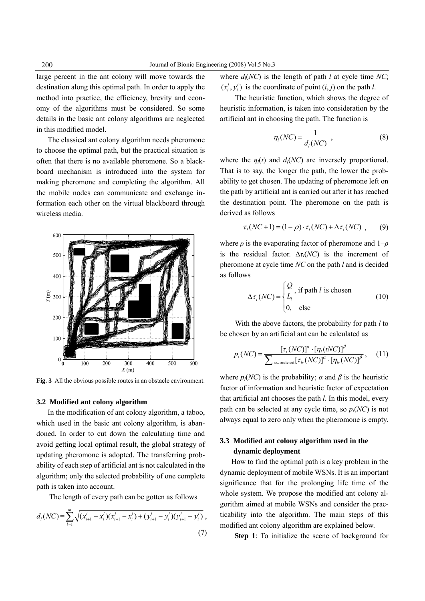large percent in the ant colony will move towards the destination along this optimal path. In order to apply the method into practice, the efficiency, brevity and economy of the algorithms must be considered. So some details in the basic ant colony algorithms are neglected in this modified model.

The classical ant colony algorithm needs pheromone to choose the optimal path, but the practical situation is often that there is no available pheromone. So a blackboard mechanism is introduced into the system for making pheromone and completing the algorithm. All the mobile nodes can communicate and exchange information each other on the virtual blackboard through wireless media.



**Fig. 3** All the obvious possible routes in an obstacle environment.

#### **3.2 Modified ant colony algorithm**

In the modification of ant colony algorithm, a taboo, which used in the basic ant colony algorithm, is abandoned. In order to cut down the calculating time and avoid getting local optimal result, the global strategy of updating pheromone is adopted. The transferring probability of each step of artificial ant is not calculated in the algorithm; only the selected probability of one complete path is taken into account.

The length of every path can be gotten as follows

$$
d_i(NC) = \sum_{i=1}^{m} \sqrt{(x_{i+1}^l - x_i^l)(x_{i+1}^l - x_i^l) + (y_{i+1}^l - y_i^l)(y_{i+1}^l - y_i^l)},
$$
\n(7)

where  $d_l(NC)$  is the length of path *l* at cycle time *NC*;  $(x_i^l, y_i^l)$  is the coordinate of point  $(i, j)$  on the path *l*.

The heuristic function, which shows the degree of heuristic information, is taken into consideration by the artificial ant in choosing the path. The function is

$$
\eta_l(NC) = \frac{1}{d_l(NC)} \tag{8}
$$

where the  $\eta_l(t)$  and  $d_l(NC)$  are inversely proportional. That is to say, the longer the path, the lower the probability to get chosen. The updating of pheromone left on the path by artificial ant is carried out after it has reached the destination point. The pheromone on the path is derived as follows

$$
\tau_i(NC+1) = (1-\rho) \cdot \tau_i(NC) + \Delta \tau_i(NC) , \qquad (9)
$$

where  $\rho$  is the evaporating factor of pheromone and  $1-\rho$ is the residual factor.  $\Delta \tau / N C$  is the increment of pheromone at cycle time *NC* on the path *l* and is decided as follows

$$
\Delta \tau_l(NC) = \begin{cases} \frac{Q}{L_l}, & \text{if path } l \text{ is chosen} \\ 0, & \text{else} \end{cases}
$$
 (10)

With the above factors, the probability for path *l* to be chosen by an artificial ant can be calculated as

$$
p_l(NC) = \frac{[\tau_l(NC)]^{\alpha} \cdot [\eta_l(tNC)]^{\beta}}{\sum_{s \text{ \text{croute set}}} [\tau_{ls}(NC)]^{\alpha} \cdot [\eta_{ls}(NC)]^{\beta}}, \quad (11)
$$

where  $p_l(NC)$  is the probability;  $\alpha$  and  $\beta$  is the heuristic factor of information and heuristic factor of expectation that artificial ant chooses the path *l*. In this model, every path can be selected at any cycle time, so  $p_l(NC)$  is not always equal to zero only when the pheromone is empty.

# **3.3 Modified ant colony algorithm used in the dynamic deployment**

How to find the optimal path is a key problem in the dynamic deployment of mobile WSNs. It is an important significance that for the prolonging life time of the whole system. We propose the modified ant colony algorithm aimed at mobile WSNs and consider the practicability into the algorithm. The main steps of this modified ant colony algorithm are explained below.

**Step 1**: To initialize the scene of background for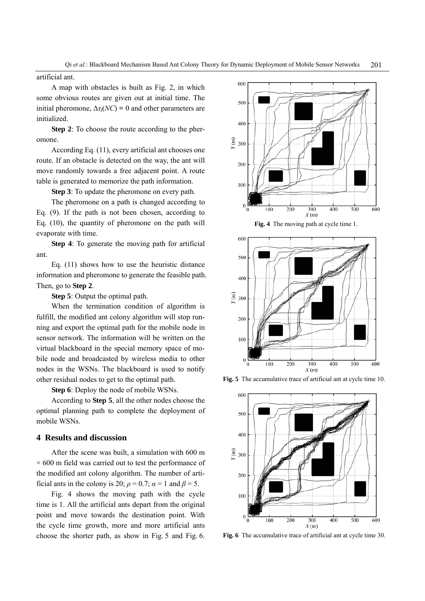artificial ant.

A map with obstacles is built as Fig. 2, in which some obvious routes are given out at initial time. The initial pheromone,  $\Delta \tau$ *l*(*NC*) = 0 and other parameters are initialized.

**Step 2**: To choose the route according to the pheromone.

According Eq. (11), every artificial ant chooses one route. If an obstacle is detected on the way, the ant will move randomly towards a free adjacent point. A route table is generated to memorize the path information.

**Step 3**: To update the pheromone on every path.

The pheromone on a path is changed according to Eq. (9). If the path is not been chosen, according to Eq. (10), the quantity of pheromone on the path will evaporate with time.

**Step 4**: To generate the moving path for artificial ant.

Eq. (11) shows how to use the heuristic distance information and pheromone to generate the feasible path. Then, go to **Step 2**.

**Step 5**: Output the optimal path.

When the termination condition of algorithm is fulfill, the modified ant colony algorithm will stop running and export the optimal path for the mobile node in sensor network. The information will be written on the virtual blackboard in the special memory space of mobile node and broadcasted by wireless media to other nodes in the WSNs. The blackboard is used to notify other residual nodes to get to the optimal path.

**Step 6**: Deploy the node of mobile WSNs.

According to **Step 5**, all the other nodes choose the optimal planning path to complete the deployment of mobile WSNs.

# **4 Results and discussion**

After the scene was built, a simulation with 600 m  $\times$  600 m field was carried out to test the performance of the modified ant colony algorithm. The number of artificial ants in the colony is 20;  $\rho = 0.7$ ;  $\alpha = 1$  and  $\beta = 5$ .

Fig. 4 shows the moving path with the cycle time is 1. All the artificial ants depart from the original point and move towards the destination point. With the cycle time growth, more and more artificial ants choose the shorter path, as show in Fig. 5 and Fig. 6.



**Fig. 4** The moving path at cycle time 1.



**Fig. 5** The accumulative trace of artificial ant at cycle time 10.



**Fig. 6** The accumulative trace of artificial ant at cycle time 30.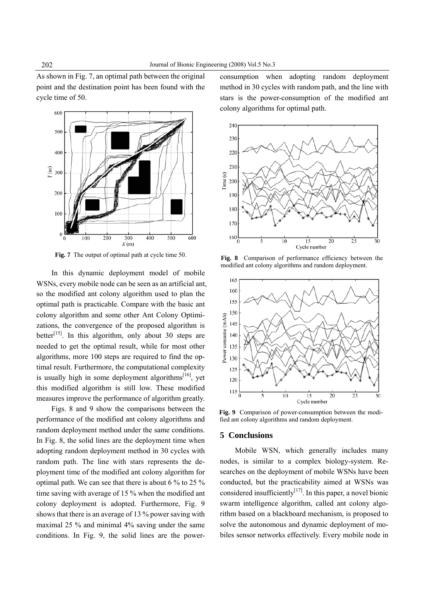As shown in Fig. 7, an optimal path between the original point and the destination point has been found with the cycle time of 50.



**Fig. 7** The output of optimal path at cycle time 50.

In this dynamic deployment model of mobile WSNs, every mobile node can be seen as an artificial ant, so the modified ant colony algorithm used to plan the optimal path is practicable. Compare with the basic ant colony algorithm and some other Ant Colony Optimizations, the convergence of the proposed algorithm is better<sup>[15]</sup>. In this algorithm, only about 30 steps are needed to get the optimal result, while for most other algorithms, more 100 steps are required to find the optimal result. Furthermore, the computational complexity is usually high in some deployment algorithms $^{[16]}$ , yet this modified algorithm is still low. These modified measures improve the performance of algorithm greatly.

Figs. 8 and 9 show the comparisons between the performance of the modified ant colony algorithms and random deployment method under the same conditions. In Fig. 8, the solid lines are the deployment time when adopting random deployment method in 30 cycles with random path. The line with stars represents the deployment time of the modified ant colony algorithm for optimal path. We can see that there is about 6 % to 25 % time saving with average of 15 % when the modified ant colony deployment is adopted. Furthermore, Fig. 9 shows that there is an average of 13 % power saving with maximal 25 % and minimal 4% saving under the same conditions. In Fig. 9, the solid lines are the powerconsumption when adopting random deployment method in 30 cycles with random path, and the line with stars is the power-consumption of the modified ant colony algorithms for optimal path.



**Fig. 8** Comparison of performance efficiency between the modified ant colony algorithms and random deployment.



**Fig. 9** Comparison of power-consumption between the modified ant colony algorithms and random deployment.

#### **5 Conclusions**

Mobile WSN, which generally includes many nodes, is similar to a complex biology-system. Researches on the deployment of mobile WSNs have been conducted, but the practicability aimed at WSNs was considered insufficiently<sup>[17]</sup>. In this paper, a novel bionic swarm intelligence algorithm, called ant colony algorithm based on a blackboard mechanism, is proposed to solve the autonomous and dynamic deployment of mobiles sensor networks effectively. Every mobile node in